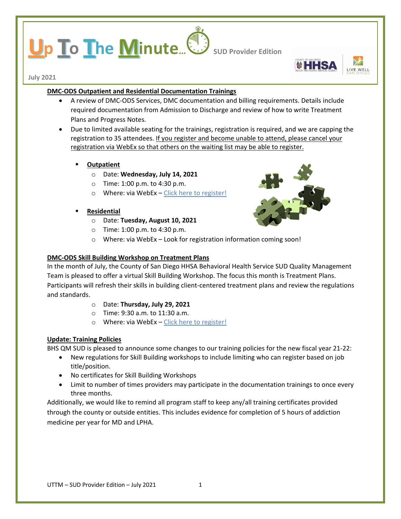# **p To The Minute...** Sub Provider Edition



**July 2021**

# **DMC-ODS Outpatient and Residential Documentation Trainings**

- A review of DMC-ODS Services, DMC documentation and billing requirements. Details include required documentation from Admission to Discharge and review of how to write Treatment Plans and Progress Notes.
- Due to limited available seating for the trainings, registration is required, and we are capping the registration to 35 attendees. If you register and become unable to attend, please cancel your registration via WebEx so that others on the waiting list may be able to register.
	- **Outpatient**
		- o Date: **Wednesday, July 14, 2021**
		- o Time: 1:00 p.m. to 4:30 p.m.
		- o Where: via WebEx [Click here to register!](https://sdcountyca.webex.com/sdcountyca/k2/j.php?MTID=ta46386c2be65ded0490ce77957914711)
	- **Residential**
		- o Date: **Tuesday, August 10, 2021**
		- o Time: 1:00 p.m. to 4:30 p.m.
		- o Where: via WebEx Look for registration information coming soon!

## **DMC-ODS Skill Building Workshop on Treatment Plans**

In the month of July, the County of San Diego HHSA Behavioral Health Service SUD Quality Management Team is pleased to offer a virtual Skill Building Workshop. The focus this month is Treatment Plans. Participants will refresh their skills in building client-centered treatment plans and review the regulations and standards.

- o Date: **Thursday, July 29, 2021**
- o Time: 9:30 a.m. to 11:30 a.m.
- o Where: via WebEx [Click here to register!](https://sdcountyca.webex.com/mw3300/mywebex/default.do?service=7&main_url=%2Ftc3300%2Ftrainingcenter%2Fdefault.do%3Fsiteurl%3Dsdcountyca%26main_url%3D%252Ftc3300%252Fe.do%253FAT%253DMI%2526%2526Host%253DQUhTSwAAAAWOpMJkZXFvhD1vQIFZolhGb4LMBb8TAnHbrChZN4MR5i7Bu0nlHliXMfb_cdO8_nsnqv0fM6evBALgMiv9ic0v0%2526MTID%253Dt97fd1377aa50c06320a0d7e89fae8720%2526siteurl%253Dsdcountyca%2526confID%253D199124616335106243%2526ticket%253D4832534b00000005b3def9b036b64cd79f72312ced518686f0e604dac47474a2dde4b062d99351b6&siteurl=sdcountyca)

# **Update: Training Policies**

BHS QM SUD is pleased to announce some changes to our training policies for the new fiscal year 21-22:

- New regulations for Skill Building workshops to include limiting who can register based on job title/position.
- No certificates for Skill Building Workshops
- Limit to number of times providers may participate in the documentation trainings to once every three months.

Additionally, we would like to remind all program staff to keep any/all training certificates provided through the county or outside entities. This includes evidence for completion of 5 hours of addiction medicine per year for MD and LPHA.

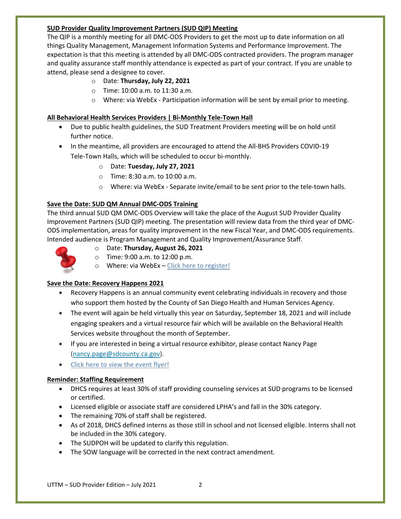## **SUD Provider Quality Improvement Partners (SUD QIP) Meeting**

The QIP is a monthly meeting for all DMC-ODS Providers to get the most up to date information on all things Quality Management, Management Information Systems and Performance Improvement. The expectation is that this meeting is attended by all DMC-ODS contracted providers. The program manager and quality assurance staff monthly attendance is expected as part of your contract. If you are unable to attend, please send a designee to cover.

- o Date: **Thursday, July 22, 2021**
- o Time: 10:00 a.m. to 11:30 a.m.
- o Where: via WebEx Participation information will be sent by email prior to meeting.

### **All Behavioral Health Services Providers | Bi-Monthly Tele-Town Hall**

- Due to public health guidelines, the SUD Treatment Providers meeting will be on hold until further notice.
- In the meantime, all providers are encouraged to attend the All-BHS Providers COVID-19 Tele-Town Halls, which will be scheduled to occur bi-monthly.
	- o Date: **Tuesday, July 27, 2021**
	- o Time: 8:30 a.m. to 10:00 a.m.
	- o Where: via WebEx Separate invite/email to be sent prior to the tele-town halls.

## **Save the Date: SUD QM Annual DMC-ODS Training**

The third annual SUD QM DMC-ODS Overview will take the place of the August SUD Provider Quality Improvement Partners (SUD QIP) meeting. The presentation will review data from the third year of DMC-ODS implementation, areas for quality improvement in the new Fiscal Year, and DMC-ODS requirements. Intended audience is Program Management and Quality Improvement/Assurance Staff.



- o Date: **Thursday, August 26, 2021**
- o Time: 9:00 a.m. to 12:00 p.m.
- $\circ$  Where: via WebEx [Click here to register!](https://sdcountyca.webex.com/mw3300/mywebex/default.do?nomenu=true&siteurl=sdcountyca&service=6&rnd=0.3266372257692298&main_url=https%3A%2F%2Fsdcountyca.webex.com%2Fec3300%2Feventcenter%2Fevent%2FeventAction.do%3FtheAction%3Ddetail%26%26%26EMK%3D4832534b0000000535a820a2f180db1c5b99997e70907ea2738a1e6c7079ed75106f26551fbffd60%26siteurl%3Dsdcountyca%26confViewID%3D197946991862391454%26encryptTicket%3DSDJTSwAAAAXJtd9zWXXK5rTWQ3aNGZcpEB3SIp_1S2Nn5Pn6asYRlw2%26)

#### **Save the Date: Recovery Happens 2021**

- Recovery Happens is an annual community event celebrating individuals in recovery and those who support them hosted by the County of San Diego Health and Human Services Agency.
- The event will again be held virtually this year on Saturday, September 18, 2021 and will include engaging speakers and a virtual resource fair which will be available on the Behavioral Health Services website throughout the month of September.
- If you are interested in being a virtual resource exhibitor, please contact Nancy Page [\(nancy.page@sdcounty.ca.gov\)](mailto:nancy.page@sdcounty.ca.gov).
- [Click here to view the event flyer!](https://www.sandiegocounty.gov/content/dam/sdc/hhsa/programs/bhs/pce/rh_save_the_date.pdf)

#### **Reminder: Staffing Requirement**

- DHCS requires at least 30% of staff providing counseling services at SUD programs to be licensed or certified.
- Licensed eligible or associate staff are considered LPHA's and fall in the 30% category.
- The remaining 70% of staff shall be registered.
- As of 2018, DHCS defined interns as those still in school and not licensed eligible. Interns shall not be included in the 30% category.
- The SUDPOH will be updated to clarify this regulation.
- The SOW language will be corrected in the next contract amendment.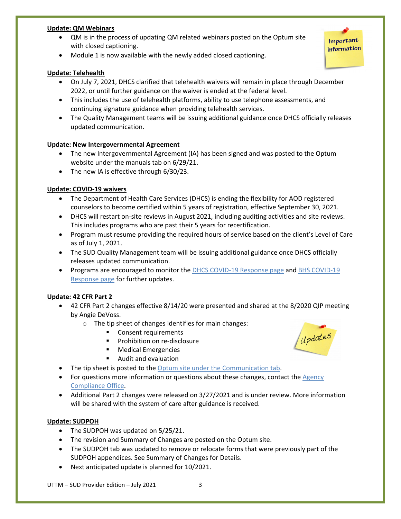#### **Update: QM Webinars**

• QM is in the process of updating QM related webinars posted on the Optum site with closed captioning.

• Module 1 is now available with the newly added closed captioning.

#### **Update: Telehealth**

- On July 7, 2021, DHCS clarified that telehealth waivers will remain in place through December 2022, or until further guidance on the waiver is ended at the federal level.
- This includes the use of telehealth platforms, ability to use telephone assessments, and continuing signature guidance when providing telehealth services.
- The Quality Management teams will be issuing additional guidance once DHCS officially releases updated communication.

#### **Update: New Intergovernmental Agreement**

- The new Intergovernmental Agreement (IA) has been signed and was posted to the Optum website under the manuals tab on 6/29/21.
- The new IA is effective through 6/30/23.

#### **Update: COVID-19 waivers**

- The Department of Health Care Services (DHCS) is ending the flexibility for AOD registered counselors to become certified within 5 years of registration, effective September 30, 2021.
- DHCS will restart on-site reviews in August 2021, including auditing activities and site reviews. This includes programs who are past their 5 years for recertification.
- Program must resume providing the required hours of service based on the client's Level of Care as of July 1, 2021.
- The SUD Quality Management team will be issuing additional guidance once DHCS officially releases updated communication.
- Programs are encouraged to monitor the [DHCS COVID-19 Response page](https://www.dhcs.ca.gov/Pages/DHCS-COVID%E2%80%9119-Response.aspx) and BHS COVID-19 [Response page](https://www.sandiegocounty.gov/content/sdc/hhsa/programs/bhs/BHSCOVID19Information.html?cq_ck=1584750268972.html) for further updates.

#### **Update: 42 CFR Part 2**

- 42 CFR Part 2 changes effective 8/14/20 were presented and shared at the 8/2020 QIP meeting by Angie DeVoss.
	- o The tip sheet of changes identifies for main changes:
		- **Consent requirements**
		- Prohibition on re-disclosure
		- **Medical Emergencies**
		- Audit and evaluation
- The tip sheet is posted to the [Optum site under the Communication tab.](https://www.optumsandiego.com/content/dam/san-diego/documents/dmc-ods/communications/ACO_Tip_Sheet_-_42_CFR_Changes_Effective_2020.08.14_-_version_date_2020.08.pdf)
- For questions more information or questions about these changes, contact the Agency [Compliance Office.](mailto:PrivacyOfficer.HHSA@SDCounty.ca.gov)
- Additional Part 2 changes were released on 3/27/2021 and is under review. More information will be shared with the system of care after guidance is received.

#### **Update: SUDPOH**

- The SUDPOH was updated on 5/25/21.
- The revision and Summary of Changes are posted on the Optum site.
- The SUDPOH tab was updated to remove or relocate forms that were previously part of the SUDPOH appendices. See Summary of Changes for Details.
- Next anticipated update is planned for 10/2021.

UTTM – SUD Provider Edition – July 2021 3



Important Information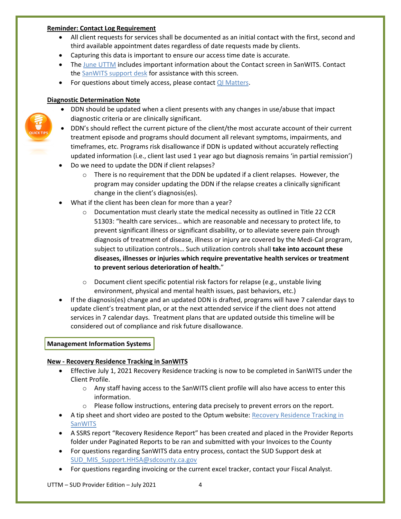#### **Reminder: Contact Log Requirement**

- All client requests for services shall be documented as an initial contact with the first, second and third available appointment dates regardless of date requests made by clients.
- Capturing this data is important to ensure our access time date is accurate.
- The [June UTTM](https://www.optumsandiego.com/content/dam/san-diego/documents/dmc-ods/uttm/SUD_Up_to_the_Minute_-_June_2021.pdf) includes important information about the Contact screen in SanWITS. Contact the [SanWITS support desk](mailto:SUD_MIS_Support.HHSA@sdcounty.ca.gov) for assistance with this screen.
- For questions about timely access, please contact **QI Matters**.

## **Diagnostic Determination Note**

- DDN should be updated when a client presents with any changes in use/abuse that impact diagnostic criteria or are clinically significant.
- DDN's should reflect the current picture of the client/the most accurate account of their current treatment episode and programs should document all relevant symptoms, impairments, and timeframes, etc. Programs risk disallowance if DDN is updated without accurately reflecting updated information (i.e., client last used 1 year ago but diagnosis remains 'in partial remission')
- Do we need to update the DDN if client relapses?
	- $\circ$  There is no requirement that the DDN be updated if a client relapses. However, the program may consider updating the DDN if the relapse creates a clinically significant change in the client's diagnosis(es).
- What if the client has been clean for more than a year?
	- $\circ$  Documentation must clearly state the medical necessity as outlined in Title 22 CCR 51303: "health care services… which are reasonable and necessary to protect life, to prevent significant illness or significant disability, or to alleviate severe pain through diagnosis of treatment of disease, illness or injury are covered by the Medi-Cal program, subject to utilization controls… Such utilization controls shall **take into account these diseases, illnesses or injuries which require preventative health services or treatment to prevent serious deterioration of health.**"
	- $\circ$  Document client specific potential risk factors for relapse (e.g., unstable living environment, physical and mental health issues, past behaviors, etc.)
- If the diagnosis(es) change and an updated DDN is drafted, programs will have 7 calendar days to update client's treatment plan, or at the next attended service if the client does not attend services in 7 calendar days. Treatment plans that are updated outside this timeline will be considered out of compliance and risk future disallowance.

#### **Management Information Systems**

#### **New - Recovery Residence Tracking in SanWITS**

- Effective July 1, 2021 Recovery Residence tracking is now to be completed in SanWITS under the Client Profile.
	- o Any staff having access to the SanWITS client profile will also have access to enter this information.
	- $\circ$  Please follow instructions, entering data precisely to prevent errors on the report.
- A tip sheet and short video are posted to the Optum website: [Recovery Residence Tracking in](https://www.optumsandiego.com/content/SanDiego/sandiego/en/county-staff---providers/dmc-ods/rrsanwits.html)  [SanWITS](https://www.optumsandiego.com/content/SanDiego/sandiego/en/county-staff---providers/dmc-ods/rrsanwits.html)
- A SSRS report "Recovery Residence Report" has been created and placed in the Provider Reports folder under Paginated Reports to be ran and submitted with your Invoices to the County
- For questions regarding SanWITS data entry process, contact the SUD Support desk at [SUD\\_MIS\\_Support.HHSA@sdcounty.ca.gov](mailto:SUD_MIS_Support.HHSA@sdcounty.ca.gov)
- For questions regarding invoicing or the current excel tracker, contact your Fiscal Analyst.

UTTM – SUD Provider Edition – July 2021 4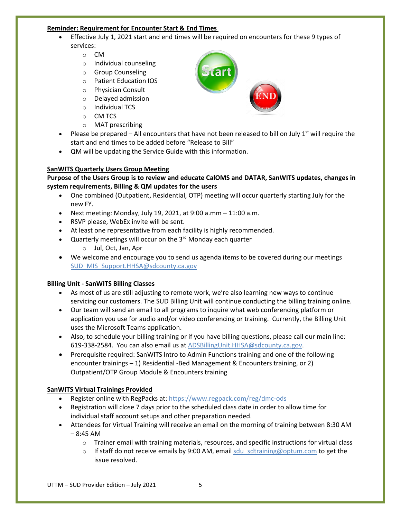#### **Reminder: Requirement for Encounter Start & End Times**

- Effective July 1, 2021 start and end times will be required on encounters for these 9 types of services:
	- o CM
	- o Individual counseling
	- o Group Counseling
	- o Patient Education IOS
	- o Physician Consult
	- o Delayed admission
	- o Individual TCS
	- o CM TCS
	- o MAT prescribing
- Please be prepared All encounters that have not been released to bill on July  $1^{st}$  will require the start and end times to be added before "Release to Bill"
- QM will be updating the Service Guide with this information.

# **SanWITS Quarterly Users Group Meeting**

## **Purpose of the Users Group is to review and educate CalOMS and DATAR, SanWITS updates, changes in system requirements, Billing & QM updates for the users**

- One combined (Outpatient, Residential, OTP) meeting will occur quarterly starting July for the new FY.
- Next meeting: Monday, July 19, 2021, at  $9:00$  a.mm  $-11:00$  a.m.
- RSVP please, WebEx invite will be sent.
- At least one representative from each facility is highly recommended.
- Quarterly meetings will occur on the  $3<sup>rd</sup>$  Monday each quarter
	- o Jul, Oct, Jan, Apr
- We welcome and encourage you to send us agenda items to be covered during our meetings [SUD\\_MIS\\_Support.HHSA@sdcounty.ca.gov](mailto:SUD_MIS_Support.HHSA@sdcounty.ca.gov)

# **Billing Unit - SanWITS Billing Classes**

- As most of us are still adjusting to remote work, we're also learning new ways to continue servicing our customers. The SUD Billing Unit will continue conducting the billing training online.
- Our team will send an email to all programs to inquire what web conferencing platform or application you use for audio and/or video conferencing or training. Currently, the Billing Unit uses the Microsoft Teams application.
- Also, to schedule your billing training or if you have billing questions, please call our main line: 619-338-2584. You can also email us at [ADSBillingUnit.HHSA@sdcounty.ca.gov.](mailto:ADSBillingUnit.HHSA@sdcounty.ca.gov)
- Prerequisite required: SanWITS Intro to Admin Functions training and one of the following encounter trainings – 1) Residential -Bed Management & Encounters training, or 2) Outpatient/OTP Group Module & Encounters training

# **SanWITS Virtual Trainings Provided**

- Register online with RegPacks at: <https://www.regpack.com/reg/dmc-ods>
- Registration will close 7 days prior to the scheduled class date in order to allow time for individual staff account setups and other preparation needed.
- Attendees for Virtual Training will receive an email on the morning of training between 8:30 AM  $-8:45$  AM
	- o Trainer email with training materials, resources, and specific instructions for virtual class
	- $\circ$  If staff do not receive emails by 9:00 AM, email sdu sdtraining@optum.com to get the issue resolved.

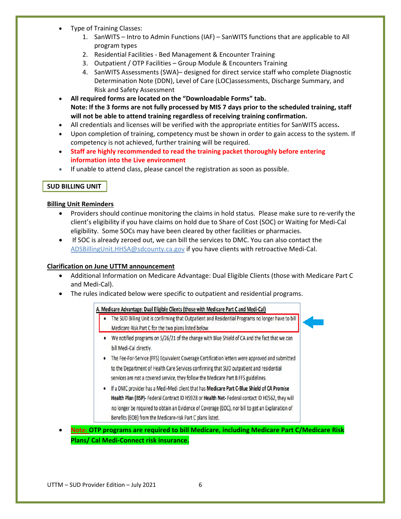- Type of Training Classes:
	- 1. SanWITS Intro to Admin Functions (IAF) SanWITS functions that are applicable to All program types
	- 2. Residential Facilities Bed Management & Encounter Training
	- 3. Outpatient / OTP Facilities Group Module & Encounters Training
	- 4. SanWITS Assessments (SWA)– designed for direct service staff who complete Diagnostic Determination Note (DDN), Level of Care (LOC)assessments, Discharge Summary, and Risk and Safety Assessment
- **All required forms are located on the "Downloadable Forms" tab. Note: If the 3 forms are not fully processed by MIS 7 days prior to the scheduled training, staff will not be able to attend training regardless of receiving training confirmation.**
- All credentials and licenses will be verified with the appropriate entities for SanWITS access**.**
- Upon completion of training, competency must be shown in order to gain access to the system. If competency is not achieved, further training will be required.
- **Staff are highly recommended to read the training packet thoroughly before entering information into the Live environment**
- If unable to attend class, please cancel the registration as soon as possible.

# **SUD BILLING UNIT**

#### **Billing Unit Reminders**

- Providers should continue monitoring the claims in hold status. Please make sure to re-verify the client's eligibility if you have claims on hold due to Share of Cost (SOC) or Waiting for Medi-Cal eligibility. Some SOCs may have been cleared by other facilities or pharmacies.
- If SOC is already zeroed out, we can bill the services to DMC. You can also contact the [ADSBillingUnit.HHSA@sdcounty.ca.gov](mailto:ADSBillingUnit.HHSA@sdcounty.ca.gov) if you have clients with retroactive Medi-Cal.

#### **Clarification on June UTTM announcement**

- Additional Information on Medicare Advantage: Dual Eligible Clients (those with Medicare Part C and Medi-Cal).
- The rules indicated below were specific to outpatient and residential programs.

#### A. Medicare Advantage: Dual Eligible Clients (those with Medicare Part C and Medi-Cal)

- . The SUD Billing Unit is confirming that Outpatient and Residential Programs no longer have to bill Medicare Risk Part C for the two plans listed below.
- We notified programs on 5/26/21 of the change with Blue Shield of CA and the fact that we can bill Medi-Cal directly.
- The Fee-For-Service (FFS) Equivalent Coverage Certification letters were approved and submitted to the Department of Health Care Services confirming that SUD outpatient and residential services are not a covered service, they follow the Medicare Part B FFS guidelines.
- . If a DMC provider has a Medi-Medi client that has Medicare Part C-Blue Shield of CA Promise Health Plan (BSP)- Federal Contract ID H5928 or Health Net-Federal contact ID H0562, they will no longer be required to obtain an Evidence of Coverage (EOC), nor bill to get an Explanation of Benefits (EOB) from the Medicare-risk Part C plans listed.
- **Note: OTP programs are required to bill Medicare, including Medicare Part C/Medicare Risk Plans/ Cal Medi-Connect risk insurance.**